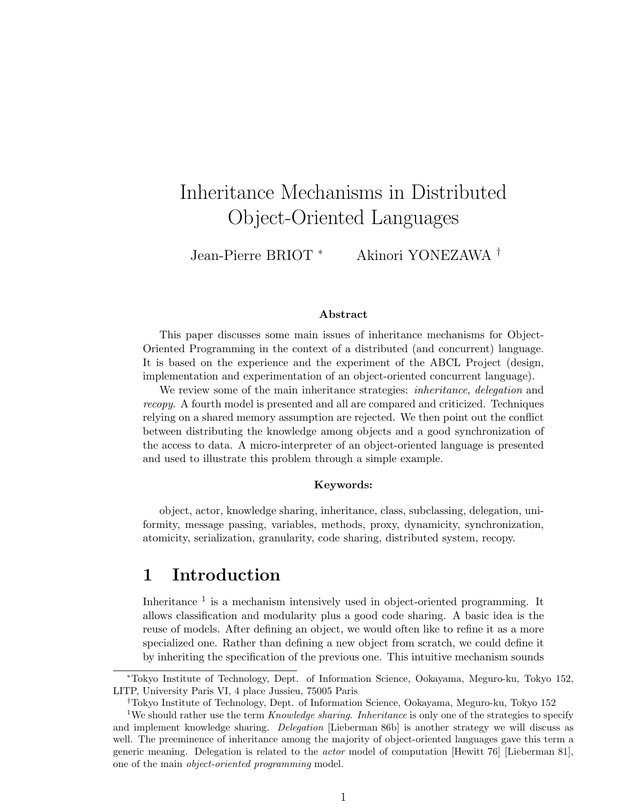# Inheritance Mechanisms in Distributed Object-Oriented Languages

Jean-Pierre BRIOT <sup>∗</sup> Akinori YONEZAWA †

#### Abstract

This paper discusses some main issues of inheritance mechanisms for Object-Oriented Programming in the context of a distributed (and concurrent) language. It is based on the experience and the experiment of the ABCL Project (design, implementation and experimentation of an object-oriented concurrent language).

We review some of the main inheritance strategies: *inheritance*, *delegation* and recopy. A fourth model is presented and all are compared and criticized. Techniques relying on a shared memory assumption are rejected. We then point out the conflict between distributing the knowledge among objects and a good synchronization of the access to data. A micro-interpreter of an object-oriented language is presented and used to illustrate this problem through a simple example.

#### Keywords:

object, actor, knowledge sharing, inheritance, class, subclassing, delegation, uniformity, message passing, variables, methods, proxy, dynamicity, synchronization, atomicity, serialization, granularity, code sharing, distributed system, recopy.

## 1 Introduction

Inheritance<sup>1</sup> is a mechanism intensively used in object-oriented programming. It allows classification and modularity plus a good code sharing. A basic idea is the reuse of models. After defining an object, we would often like to refine it as a more specialized one. Rather than defining a new object from scratch, we could define it by inheriting the specification of the previous one. This intuitive mechanism sounds

<sup>∗</sup>Tokyo Institute of Technology, Dept. of Information Science, Ookayama, Meguro-ku, Tokyo 152, LITP, University Paris VI, 4 place Jussieu, 75005 Paris

<sup>†</sup>Tokyo Institute of Technology, Dept. of Information Science, Ookayama, Meguro-ku, Tokyo 152

<sup>&</sup>lt;sup>1</sup>We should rather use the term Knowledge sharing. Inheritance is only one of the strategies to specify and implement knowledge sharing. Delegation [Lieberman 86b] is another strategy we will discuss as well. The preeminence of inheritance among the majority of object-oriented languages gave this term a generic meaning. Delegation is related to the actor model of computation [Hewitt 76] [Lieberman 81], one of the main object-oriented programming model.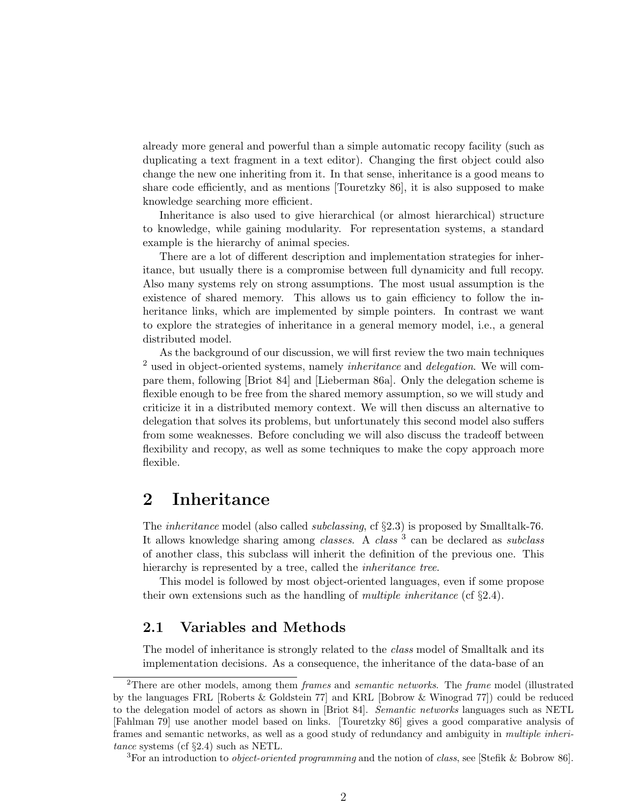already more general and powerful than a simple automatic recopy facility (such as duplicating a text fragment in a text editor). Changing the first object could also change the new one inheriting from it. In that sense, inheritance is a good means to share code efficiently, and as mentions [Touretzky 86], it is also supposed to make knowledge searching more efficient.

Inheritance is also used to give hierarchical (or almost hierarchical) structure to knowledge, while gaining modularity. For representation systems, a standard example is the hierarchy of animal species.

There are a lot of different description and implementation strategies for inheritance, but usually there is a compromise between full dynamicity and full recopy. Also many systems rely on strong assumptions. The most usual assumption is the existence of shared memory. This allows us to gain efficiency to follow the inheritance links, which are implemented by simple pointers. In contrast we want to explore the strategies of inheritance in a general memory model, i.e., a general distributed model.

As the background of our discussion, we will first review the two main techniques  $2$  used in object-oriented systems, namely *inheritance* and *delegation*. We will compare them, following [Briot 84] and [Lieberman 86a]. Only the delegation scheme is flexible enough to be free from the shared memory assumption, so we will study and criticize it in a distributed memory context. We will then discuss an alternative to delegation that solves its problems, but unfortunately this second model also suffers from some weaknesses. Before concluding we will also discuss the tradeoff between flexibility and recopy, as well as some techniques to make the copy approach more flexible.

## 2 Inheritance

The *inheritance* model (also called *subclassing*, cf  $\S 2.3$ ) is proposed by Smalltalk-76. It allows knowledge sharing among *classes*. A *class*<sup>3</sup> can be declared as *subclass* of another class, this subclass will inherit the definition of the previous one. This hierarchy is represented by a tree, called the *inheritance tree*.

This model is followed by most object-oriented languages, even if some propose their own extensions such as the handling of multiple inheritance (cf  $\S 2.4$ ).

## 2.1 Variables and Methods

The model of inheritance is strongly related to the class model of Smalltalk and its implementation decisions. As a consequence, the inheritance of the data-base of an

<sup>3</sup>For an introduction to *object-oriented programming* and the notion of *class*, see [Stefik & Bobrow 86].

<sup>&</sup>lt;sup>2</sup>There are other models, among them *frames* and *semantic networks*. The *frame* model (illustrated by the languages FRL [Roberts & Goldstein 77] and KRL [Bobrow & Winograd 77]) could be reduced to the delegation model of actors as shown in [Briot 84]. Semantic networks languages such as NETL [Fahlman 79] use another model based on links. [Touretzky 86] gives a good comparative analysis of frames and semantic networks, as well as a good study of redundancy and ambiguity in multiple inheritance systems (cf  $\S 2.4$ ) such as NETL.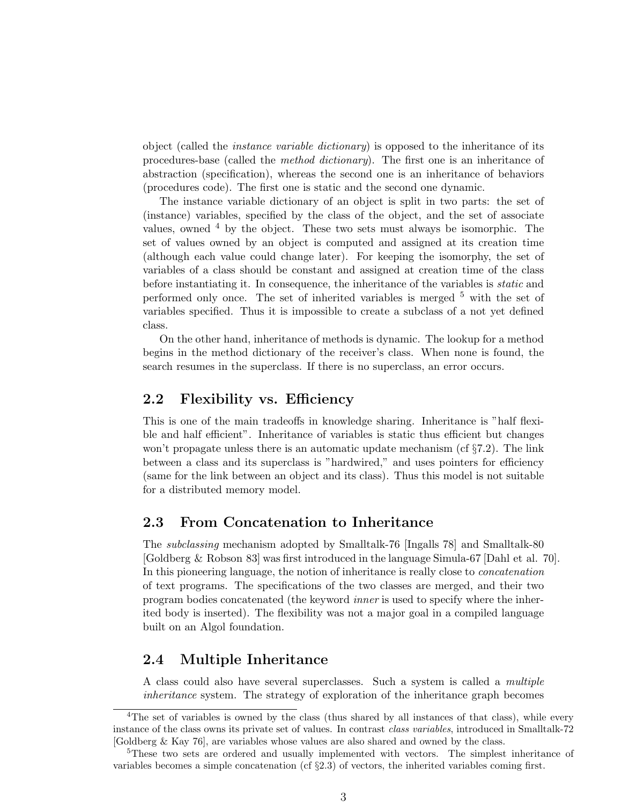object (called the *instance variable dictionary*) is opposed to the inheritance of its procedures-base (called the method dictionary). The first one is an inheritance of abstraction (specification), whereas the second one is an inheritance of behaviors (procedures code). The first one is static and the second one dynamic.

The instance variable dictionary of an object is split in two parts: the set of (instance) variables, specified by the class of the object, and the set of associate values, owned  $4$  by the object. These two sets must always be isomorphic. The set of values owned by an object is computed and assigned at its creation time (although each value could change later). For keeping the isomorphy, the set of variables of a class should be constant and assigned at creation time of the class before instantiating it. In consequence, the inheritance of the variables is static and performed only once. The set of inherited variables is merged  $5$  with the set of variables specified. Thus it is impossible to create a subclass of a not yet defined class.

On the other hand, inheritance of methods is dynamic. The lookup for a method begins in the method dictionary of the receiver's class. When none is found, the search resumes in the superclass. If there is no superclass, an error occurs.

### 2.2 Flexibility vs. Efficiency

This is one of the main tradeoffs in knowledge sharing. Inheritance is "half flexible and half efficient". Inheritance of variables is static thus efficient but changes won't propagate unless there is an automatic update mechanism (cf  $\S7.2$ ). The link between a class and its superclass is "hardwired," and uses pointers for efficiency (same for the link between an object and its class). Thus this model is not suitable for a distributed memory model.

## 2.3 From Concatenation to Inheritance

The subclassing mechanism adopted by Smalltalk-76 [Ingalls 78] and Smalltalk-80 [Goldberg & Robson 83] was first introduced in the language Simula-67 [Dahl et al. 70]. In this pioneering language, the notion of inheritance is really close to concatenation of text programs. The specifications of the two classes are merged, and their two program bodies concatenated (the keyword inner is used to specify where the inherited body is inserted). The flexibility was not a major goal in a compiled language built on an Algol foundation.

### 2.4 Multiple Inheritance

A class could also have several superclasses. Such a system is called a multiple inheritance system. The strategy of exploration of the inheritance graph becomes

<sup>&</sup>lt;sup>4</sup>The set of variables is owned by the class (thus shared by all instances of that class), while every instance of the class owns its private set of values. In contrast class variables, introduced in Smalltalk-72 [Goldberg & Kay 76], are variables whose values are also shared and owned by the class.

<sup>&</sup>lt;sup>5</sup>These two sets are ordered and usually implemented with vectors. The simplest inheritance of variables becomes a simple concatenation (cf §2.3) of vectors, the inherited variables coming first.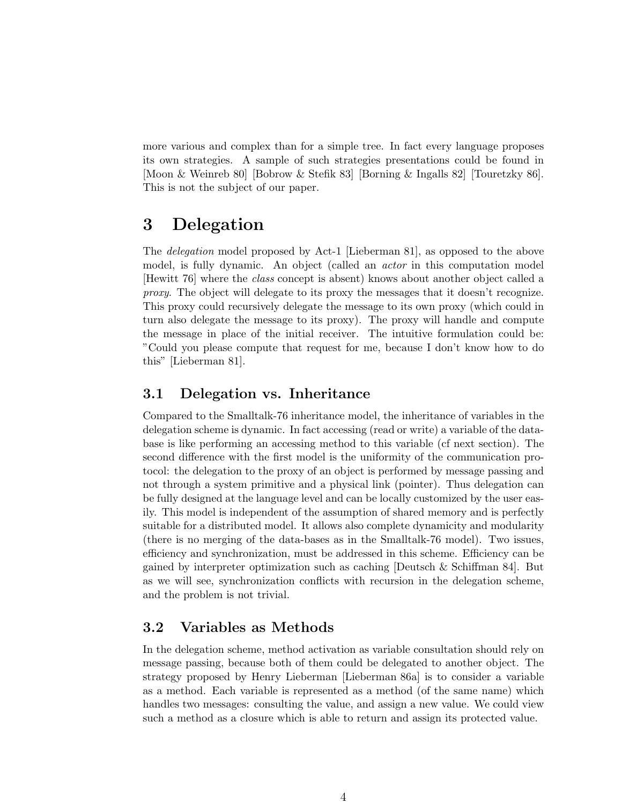more various and complex than for a simple tree. In fact every language proposes its own strategies. A sample of such strategies presentations could be found in [Moon & Weinreb 80] [Bobrow & Stefik 83] [Borning & Ingalls 82] [Touretzky 86]. This is not the subject of our paper.

## 3 Delegation

The *delegation* model proposed by Act-1 [Lieberman 81], as opposed to the above model, is fully dynamic. An object (called an *actor* in this computation model [Hewitt 76] where the class concept is absent) knows about another object called a proxy. The object will delegate to its proxy the messages that it doesn't recognize. This proxy could recursively delegate the message to its own proxy (which could in turn also delegate the message to its proxy). The proxy will handle and compute the message in place of the initial receiver. The intuitive formulation could be: "Could you please compute that request for me, because I don't know how to do this" [Lieberman 81].

## 3.1 Delegation vs. Inheritance

Compared to the Smalltalk-76 inheritance model, the inheritance of variables in the delegation scheme is dynamic. In fact accessing (read or write) a variable of the database is like performing an accessing method to this variable (cf next section). The second difference with the first model is the uniformity of the communication protocol: the delegation to the proxy of an object is performed by message passing and not through a system primitive and a physical link (pointer). Thus delegation can be fully designed at the language level and can be locally customized by the user easily. This model is independent of the assumption of shared memory and is perfectly suitable for a distributed model. It allows also complete dynamicity and modularity (there is no merging of the data-bases as in the Smalltalk-76 model). Two issues, efficiency and synchronization, must be addressed in this scheme. Efficiency can be gained by interpreter optimization such as caching [Deutsch & Schiffman 84]. But as we will see, synchronization conflicts with recursion in the delegation scheme, and the problem is not trivial.

## 3.2 Variables as Methods

In the delegation scheme, method activation as variable consultation should rely on message passing, because both of them could be delegated to another object. The strategy proposed by Henry Lieberman [Lieberman 86a] is to consider a variable as a method. Each variable is represented as a method (of the same name) which handles two messages: consulting the value, and assign a new value. We could view such a method as a closure which is able to return and assign its protected value.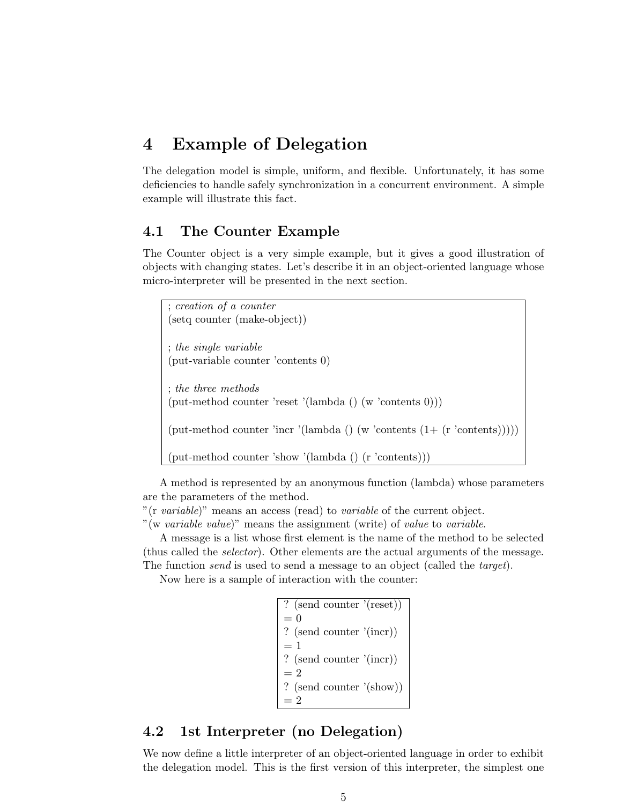## 4 Example of Delegation

The delegation model is simple, uniform, and flexible. Unfortunately, it has some deficiencies to handle safely synchronization in a concurrent environment. A simple example will illustrate this fact.

### 4.1 The Counter Example

The Counter object is a very simple example, but it gives a good illustration of objects with changing states. Let's describe it in an object-oriented language whose micro-interpreter will be presented in the next section.

; creation of a counter (setq counter (make-object)) ; the single variable (put-variable counter 'contents 0) ; the three methods (put-method counter 'reset '(lambda () (w 'contents 0))) (put-method counter 'incr '(lambda () (w 'contents (1+ (r 'contents))))) (put-method counter 'show '(lambda () (r 'contents)))

A method is represented by an anonymous function (lambda) whose parameters are the parameters of the method.

"(r variable)" means an access (read) to variable of the current object.

"(w variable value)" means the assignment (write) of value to variable.

A message is a list whose first element is the name of the method to be selected (thus called the selector). Other elements are the actual arguments of the message. The function *send* is used to send a message to an object (called the *target*).

Now here is a sample of interaction with the counter:

? (send counter '(reset))  $= 0$ ? (send counter '(incr))  $= 1$ ? (send counter '(incr))  $= 2$ ? (send counter '(show))  $= 2$ 

## 4.2 1st Interpreter (no Delegation)

We now define a little interpreter of an object-oriented language in order to exhibit the delegation model. This is the first version of this interpreter, the simplest one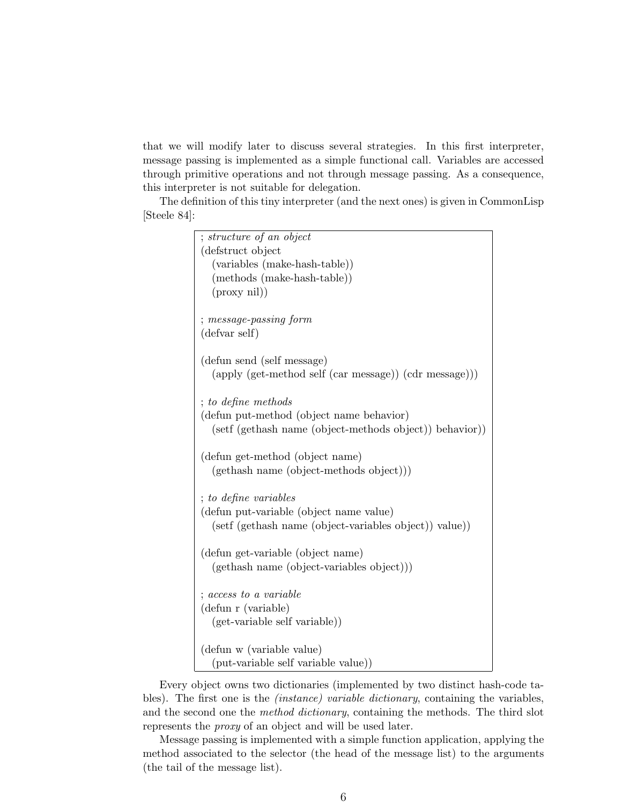that we will modify later to discuss several strategies. In this first interpreter, message passing is implemented as a simple functional call. Variables are accessed through primitive operations and not through message passing. As a consequence, this interpreter is not suitable for delegation.

The definition of this tiny interpreter (and the next ones) is given in CommonLisp [Steele 84]:

| ; structure of an object                                        |
|-----------------------------------------------------------------|
| (defstruct object)                                              |
| (variables (make-hash-table))                                   |
| $(methods (make-hash-table))$                                   |
| $(\text{proxy nil})$                                            |
|                                                                 |
| ; message-passing form                                          |
| (defvar self)                                                   |
|                                                                 |
| (defun send (self message)                                      |
| $(\text{apply (get-method self (car message)) (cdr message)}))$ |
|                                                                 |
| <i>to define methods</i>                                        |
| (defun put-method (object name behavior)                        |
| (setf (gethash name (object-methods object)) behavior))         |
|                                                                 |
| (defun get-method (object name)                                 |
| (gethash name (object-methods object))                          |
| ; to define variables                                           |
| (defun put-variable (object name value)                         |
| (setf (gethash name (object-variables object)) value))          |
|                                                                 |
| (defun get-variable (object name)                               |
| (gethash name (object-variables object))                        |
|                                                                 |
| ; access to a variable                                          |
| (defun r (variable)                                             |
| (get-variable self variable))                                   |
|                                                                 |
| (defun w (variable value)                                       |
| (put-variable self variable value))                             |

Every object owns two dictionaries (implemented by two distinct hash-code tables). The first one is the *(instance) variable dictionary*, containing the variables, and the second one the *method dictionary*, containing the methods. The third slot represents the proxy of an object and will be used later.

Message passing is implemented with a simple function application, applying the method associated to the selector (the head of the message list) to the arguments (the tail of the message list).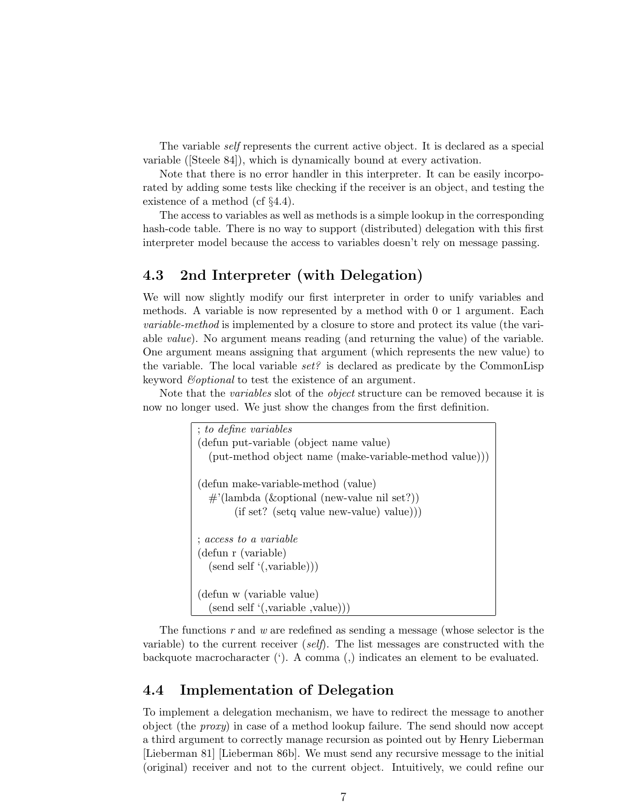The variable self represents the current active object. It is declared as a special variable ([Steele 84]), which is dynamically bound at every activation.

Note that there is no error handler in this interpreter. It can be easily incorporated by adding some tests like checking if the receiver is an object, and testing the existence of a method (cf §4.4).

The access to variables as well as methods is a simple lookup in the corresponding hash-code table. There is no way to support (distributed) delegation with this first interpreter model because the access to variables doesn't rely on message passing.

## 4.3 2nd Interpreter (with Delegation)

We will now slightly modify our first interpreter in order to unify variables and methods. A variable is now represented by a method with 0 or 1 argument. Each variable-method is implemented by a closure to store and protect its value (the variable *value*). No argument means reading (and returning the value) of the variable. One argument means assigning that argument (which represents the new value) to the variable. The local variable  $set$ ? is declared as predicate by the CommonLisp keyword *Coptional* to test the existence of an argument.

Note that the *variables* slot of the *object* structure can be removed because it is now no longer used. We just show the changes from the first definition.

```
; to define variables
(defun put-variable (object name value)
  (put-method object name (make-variable-method value)))
(defun make-variable-method (value)
  #'(lambda (&optional (new-value nil set?))
        (if set? (setq value new-value) value)))
; access to a variable
(defun r (variable)
  (send self '(,variable)))
(defun w (variable value)
  (send self '(,variable ,value)))
```
The functions  $r$  and  $w$  are redefined as sending a message (whose selector is the variable) to the current receiver (self). The list messages are constructed with the backquote macrocharacter ('). A comma (,) indicates an element to be evaluated.

## 4.4 Implementation of Delegation

To implement a delegation mechanism, we have to redirect the message to another object (the *proxy*) in case of a method lookup failure. The send should now accept a third argument to correctly manage recursion as pointed out by Henry Lieberman [Lieberman 81] [Lieberman 86b]. We must send any recursive message to the initial (original) receiver and not to the current object. Intuitively, we could refine our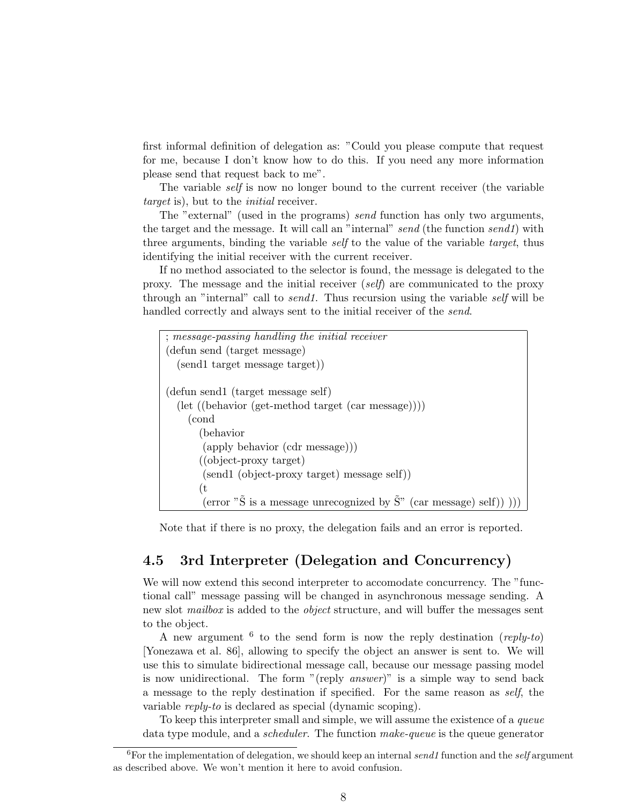first informal definition of delegation as: "Could you please compute that request for me, because I don't know how to do this. If you need any more information please send that request back to me".

The variable self is now no longer bound to the current receiver (the variable target is), but to the *initial* receiver.

The "external" (used in the programs) send function has only two arguments, the target and the message. It will call an "internal" send (the function send1) with three arguments, binding the variable self to the value of the variable target, thus identifying the initial receiver with the current receiver.

If no method associated to the selector is found, the message is delegated to the proxy. The message and the initial receiver (self) are communicated to the proxy through an "internal" call to *send1*. Thus recursion using the variable *self* will be handled correctly and always sent to the initial receiver of the send.

```
; message-passing handling the initial receiver
(defun send (target message)
  (send1 target message target))
(defun send1 (target message self)
  (let ((behavior (get-method target (car message))))
    (cond
       (behavior
       (apply behavior (cdr message)))
       ((object-proxy target)
        (send1 (object-proxy target) message self))
       (t
        (error "\tilde{S} is a message unrecognized by \tilde{S}" (car message) self)) ))
```
Note that if there is no proxy, the delegation fails and an error is reported.

## 4.5 3rd Interpreter (Delegation and Concurrency)

We will now extend this second interpreter to accomodate concurrency. The "functional call" message passing will be changed in asynchronous message sending. A new slot *mailbox* is added to the *object* structure, and will buffer the messages sent to the object.

A new argument  $6$  to the send form is now the reply destination (reply-to) [Yonezawa et al. 86], allowing to specify the object an answer is sent to. We will use this to simulate bidirectional message call, because our message passing model is now unidirectional. The form "(reply *answer*)" is a simple way to send back a message to the reply destination if specified. For the same reason as self, the variable *reply-to* is declared as special (dynamic scoping).

To keep this interpreter small and simple, we will assume the existence of a queue data type module, and a *scheduler*. The function *make-queue* is the queue generator

<sup>&</sup>lt;sup>6</sup>For the implementation of delegation, we should keep an internal send1 function and the self argument as described above. We won't mention it here to avoid confusion.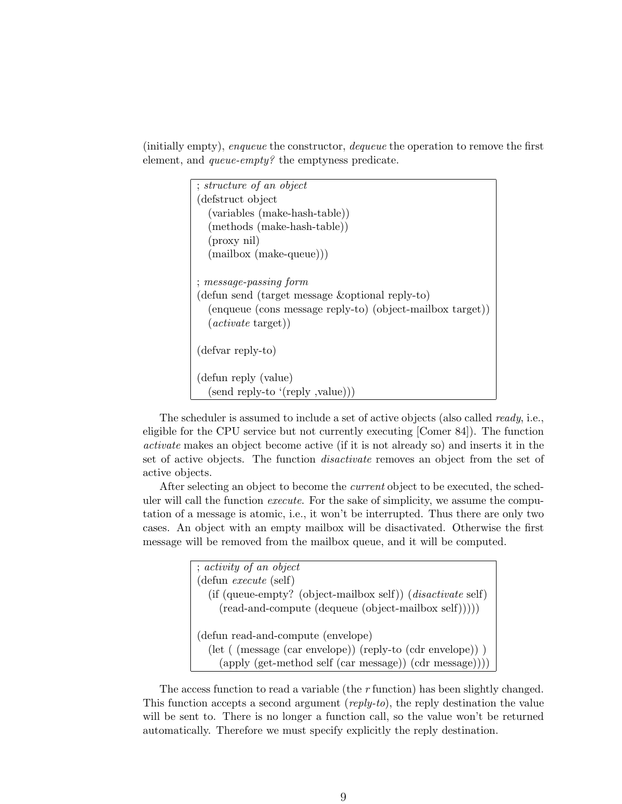(initially empty), enqueue the constructor, dequeue the operation to remove the first element, and queue-empty? the emptyness predicate.

> ; structure of an object (defstruct object (variables (make-hash-table)) (methods (make-hash-table)) (proxy nil) (mailbox (make-queue))) ; message-passing form (defun send (target message &optional reply-to) (enqueue (cons message reply-to) (object-mailbox target)) (activate target)) (defvar reply-to) (defun reply (value) (send reply-to '(reply ,value)))

The scheduler is assumed to include a set of active objects (also called *ready*, i.e., eligible for the CPU service but not currently executing [Comer 84]). The function activate makes an object become active (if it is not already so) and inserts it in the set of active objects. The function disactivate removes an object from the set of active objects.

After selecting an object to become the *current* object to be executed, the scheduler will call the function *execute*. For the sake of simplicity, we assume the computation of a message is atomic, i.e., it won't be interrupted. Thus there are only two cases. An object with an empty mailbox will be disactivated. Otherwise the first message will be removed from the mailbox queue, and it will be computed.

The access function to read a variable (the r function) has been slightly changed. This function accepts a second argument ( $reply_to$ ), the reply destination the value will be sent to. There is no longer a function call, so the value won't be returned automatically. Therefore we must specify explicitly the reply destination.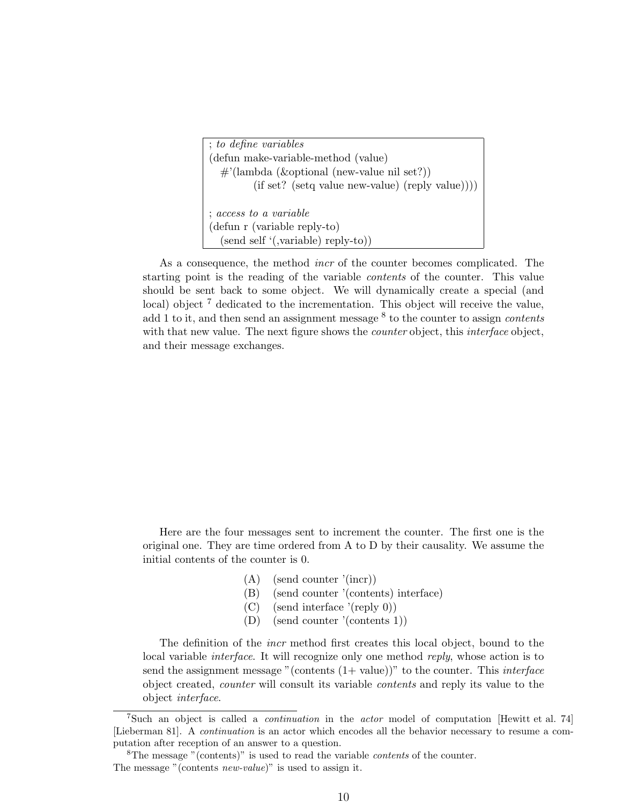; to define variables (defun make-variable-method (value) #'(lambda (&optional (new-value nil set?)) (if set? (setq value new-value) (reply value)))) ; access to a variable (defun r (variable reply-to) (send self '(,variable) reply-to))

As a consequence, the method incr of the counter becomes complicated. The starting point is the reading of the variable contents of the counter. This value should be sent back to some object. We will dynamically create a special (and local) object <sup>7</sup> dedicated to the incrementation. This object will receive the value, add 1 to it, and then send an assignment message  $8$  to the counter to assign *contents* with that new value. The next figure shows the *counter* object, this *interface* object, and their message exchanges.

Here are the four messages sent to increment the counter. The first one is the original one. They are time ordered from A to D by their causality. We assume the initial contents of the counter is 0.

- (A) (send counter '(incr))
- (B) (send counter '(contents) interface)
- (C) (send interface '(reply 0))
- (D) (send counter '(contents 1))

The definition of the incr method first creates this local object, bound to the local variable *interface*. It will recognize only one method *reply*, whose action is to send the assignment message "(contents  $(1+\text{value})$ )" to the counter. This *interface* object created, counter will consult its variable contents and reply its value to the object interface.

<sup>7</sup>Such an object is called a continuation in the actor model of computation [Hewitt et al. 74] [Lieberman 81]. A continuation is an actor which encodes all the behavior necessary to resume a computation after reception of an answer to a question.

 $8$ The message "(contents)" is used to read the variable *contents* of the counter. The message "(contents *new-value*)" is used to assign it.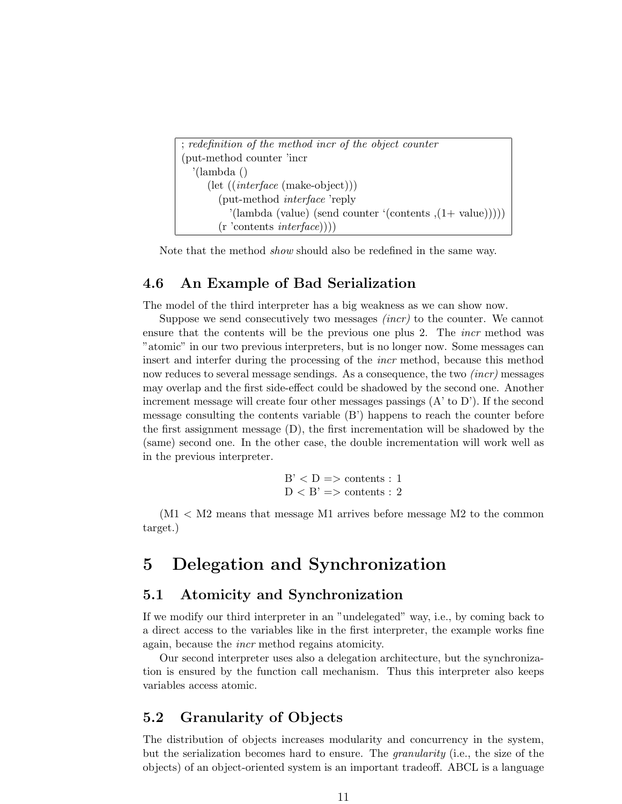| ; redefinition of the method incr of the object counter                            |
|------------------------------------------------------------------------------------|
| (put-method counter 'incr                                                          |
| $\prime$ (lambda ()                                                                |
| $(\text{let } ((interface (\text{make-object})))$                                  |
| (put-method <i>interface</i> 'reply                                                |
| $\lceil (\text{lambda (value) (send counter ' (contents , (1 + value))))}) \rceil$ |
| (r'contents <i>interface</i> )))                                                   |

Note that the method *show* should also be redefined in the same way.

### 4.6 An Example of Bad Serialization

The model of the third interpreter has a big weakness as we can show now.

Suppose we send consecutively two messages *(incr)* to the counter. We cannot ensure that the contents will be the previous one plus 2. The *incr* method was "atomic" in our two previous interpreters, but is no longer now. Some messages can insert and interfer during the processing of the incr method, because this method now reduces to several message sendings. As a consequence, the two *(incr)* messages may overlap and the first side-effect could be shadowed by the second one. Another increment message will create four other messages passings  $(A'$  to  $D')$ . If the second message consulting the contents variable (B') happens to reach the counter before the first assignment message (D), the first incrementation will be shadowed by the (same) second one. In the other case, the double incrementation will work well as in the previous interpreter.

$$
B' < D \implies
$$
 contents : 1  

$$
D < B' \implies
$$
 contents : 2

 $(M1 < M2$  means that message M1 arrives before message M2 to the common target.)

## 5 Delegation and Synchronization

### 5.1 Atomicity and Synchronization

If we modify our third interpreter in an "undelegated" way, i.e., by coming back to a direct access to the variables like in the first interpreter, the example works fine again, because the *incr* method regains atomicity.

Our second interpreter uses also a delegation architecture, but the synchronization is ensured by the function call mechanism. Thus this interpreter also keeps variables access atomic.

## 5.2 Granularity of Objects

The distribution of objects increases modularity and concurrency in the system, but the serialization becomes hard to ensure. The granularity (i.e., the size of the objects) of an object-oriented system is an important tradeoff. ABCL is a language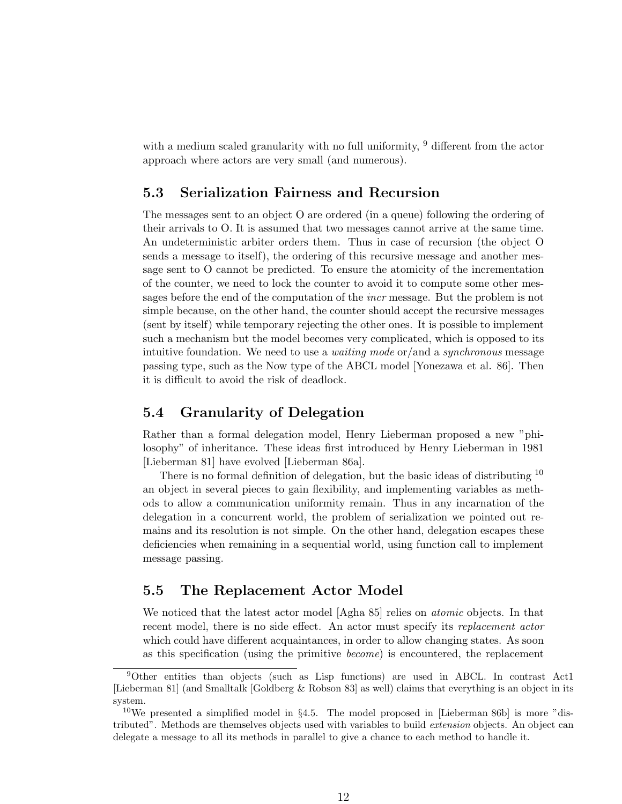with a medium scaled granularity with no full uniformity,  $9$  different from the actor approach where actors are very small (and numerous).

### 5.3 Serialization Fairness and Recursion

The messages sent to an object O are ordered (in a queue) following the ordering of their arrivals to O. It is assumed that two messages cannot arrive at the same time. An undeterministic arbiter orders them. Thus in case of recursion (the object O sends a message to itself), the ordering of this recursive message and another message sent to O cannot be predicted. To ensure the atomicity of the incrementation of the counter, we need to lock the counter to avoid it to compute some other messages before the end of the computation of the incr message. But the problem is not simple because, on the other hand, the counter should accept the recursive messages (sent by itself) while temporary rejecting the other ones. It is possible to implement such a mechanism but the model becomes very complicated, which is opposed to its intuitive foundation. We need to use a *waiting mode* or/and a *synchronous* message passing type, such as the Now type of the ABCL model [Yonezawa et al. 86]. Then it is difficult to avoid the risk of deadlock.

## 5.4 Granularity of Delegation

Rather than a formal delegation model, Henry Lieberman proposed a new "philosophy" of inheritance. These ideas first introduced by Henry Lieberman in 1981 [Lieberman 81] have evolved [Lieberman 86a].

There is no formal definition of delegation, but the basic ideas of distributing <sup>10</sup> an object in several pieces to gain flexibility, and implementing variables as methods to allow a communication uniformity remain. Thus in any incarnation of the delegation in a concurrent world, the problem of serialization we pointed out remains and its resolution is not simple. On the other hand, delegation escapes these deficiencies when remaining in a sequential world, using function call to implement message passing.

## 5.5 The Replacement Actor Model

We noticed that the latest actor model [Agha 85] relies on *atomic* objects. In that recent model, there is no side effect. An actor must specify its *replacement actor* which could have different acquaintances, in order to allow changing states. As soon as this specification (using the primitive become) is encountered, the replacement

<sup>9</sup>Other entities than objects (such as Lisp functions) are used in ABCL. In contrast Act1 [Lieberman 81] (and Smalltalk [Goldberg & Robson 83] as well) claims that everything is an object in its system.

<sup>&</sup>lt;sup>10</sup>We presented a simplified model in  $\S 4.5$ . The model proposed in [Lieberman 86b] is more "distributed". Methods are themselves objects used with variables to build extension objects. An object can delegate a message to all its methods in parallel to give a chance to each method to handle it.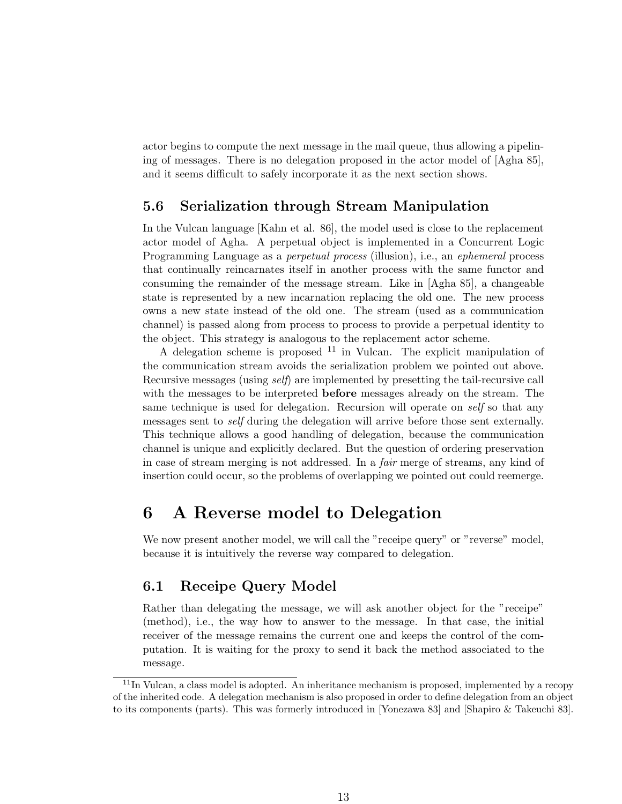actor begins to compute the next message in the mail queue, thus allowing a pipelining of messages. There is no delegation proposed in the actor model of [Agha 85], and it seems difficult to safely incorporate it as the next section shows.

## 5.6 Serialization through Stream Manipulation

In the Vulcan language [Kahn et al. 86], the model used is close to the replacement actor model of Agha. A perpetual object is implemented in a Concurrent Logic Programming Language as a perpetual process (illusion), i.e., an ephemeral process that continually reincarnates itself in another process with the same functor and consuming the remainder of the message stream. Like in [Agha 85], a changeable state is represented by a new incarnation replacing the old one. The new process owns a new state instead of the old one. The stream (used as a communication channel) is passed along from process to process to provide a perpetual identity to the object. This strategy is analogous to the replacement actor scheme.

A delegation scheme is proposed  $11$  in Vulcan. The explicit manipulation of the communication stream avoids the serialization problem we pointed out above. Recursive messages (using *self)* are implemented by presetting the tail-recursive call with the messages to be interpreted **before** messages already on the stream. The same technique is used for delegation. Recursion will operate on *self* so that any messages sent to self during the delegation will arrive before those sent externally. This technique allows a good handling of delegation, because the communication channel is unique and explicitly declared. But the question of ordering preservation in case of stream merging is not addressed. In a *fair* merge of streams, any kind of insertion could occur, so the problems of overlapping we pointed out could reemerge.

## 6 A Reverse model to Delegation

We now present another model, we will call the "receipe query" or "reverse" model, because it is intuitively the reverse way compared to delegation.

## 6.1 Receipe Query Model

Rather than delegating the message, we will ask another object for the "receipe" (method), i.e., the way how to answer to the message. In that case, the initial receiver of the message remains the current one and keeps the control of the computation. It is waiting for the proxy to send it back the method associated to the message.

<sup>&</sup>lt;sup>11</sup>In Vulcan, a class model is adopted. An inheritance mechanism is proposed, implemented by a recopy of the inherited code. A delegation mechanism is also proposed in order to define delegation from an object to its components (parts). This was formerly introduced in [Yonezawa 83] and [Shapiro & Takeuchi 83].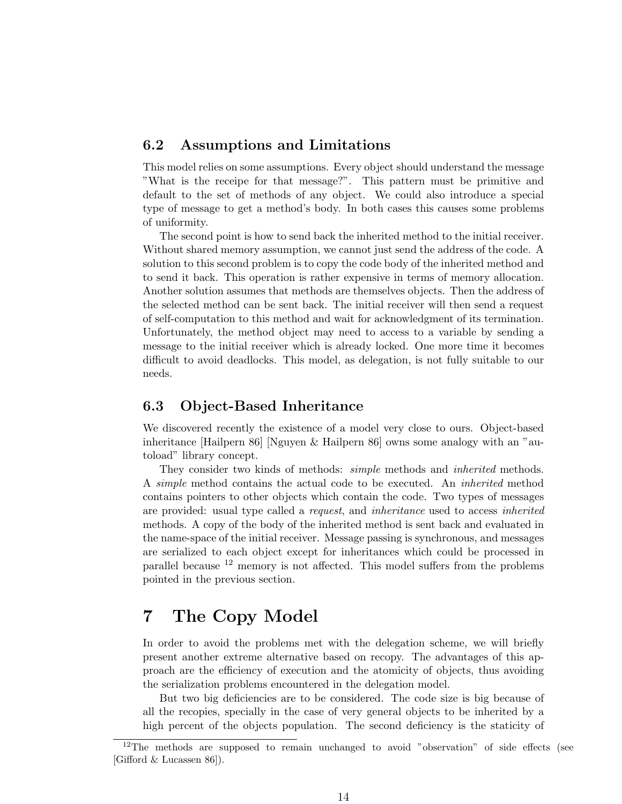### 6.2 Assumptions and Limitations

This model relies on some assumptions. Every object should understand the message "What is the receipe for that message?". This pattern must be primitive and default to the set of methods of any object. We could also introduce a special type of message to get a method's body. In both cases this causes some problems of uniformity.

The second point is how to send back the inherited method to the initial receiver. Without shared memory assumption, we cannot just send the address of the code. A solution to this second problem is to copy the code body of the inherited method and to send it back. This operation is rather expensive in terms of memory allocation. Another solution assumes that methods are themselves objects. Then the address of the selected method can be sent back. The initial receiver will then send a request of self-computation to this method and wait for acknowledgment of its termination. Unfortunately, the method object may need to access to a variable by sending a message to the initial receiver which is already locked. One more time it becomes difficult to avoid deadlocks. This model, as delegation, is not fully suitable to our needs.

## 6.3 Object-Based Inheritance

We discovered recently the existence of a model very close to ours. Object-based inheritance [Hailpern 86] [Nguyen & Hailpern 86] owns some analogy with an "autoload" library concept.

They consider two kinds of methods: *simple* methods and *inherited* methods. A simple method contains the actual code to be executed. An inherited method contains pointers to other objects which contain the code. Two types of messages are provided: usual type called a *request*, and *inheritance* used to access *inherited* methods. A copy of the body of the inherited method is sent back and evaluated in the name-space of the initial receiver. Message passing is synchronous, and messages are serialized to each object except for inheritances which could be processed in parallel because  $12$  memory is not affected. This model suffers from the problems pointed in the previous section.

## 7 The Copy Model

In order to avoid the problems met with the delegation scheme, we will briefly present another extreme alternative based on recopy. The advantages of this approach are the efficiency of execution and the atomicity of objects, thus avoiding the serialization problems encountered in the delegation model.

But two big deficiencies are to be considered. The code size is big because of all the recopies, specially in the case of very general objects to be inherited by a high percent of the objects population. The second deficiency is the staticity of

<sup>12</sup>The methods are supposed to remain unchanged to avoid "observation" of side effects (see [Gifford & Lucassen 86]).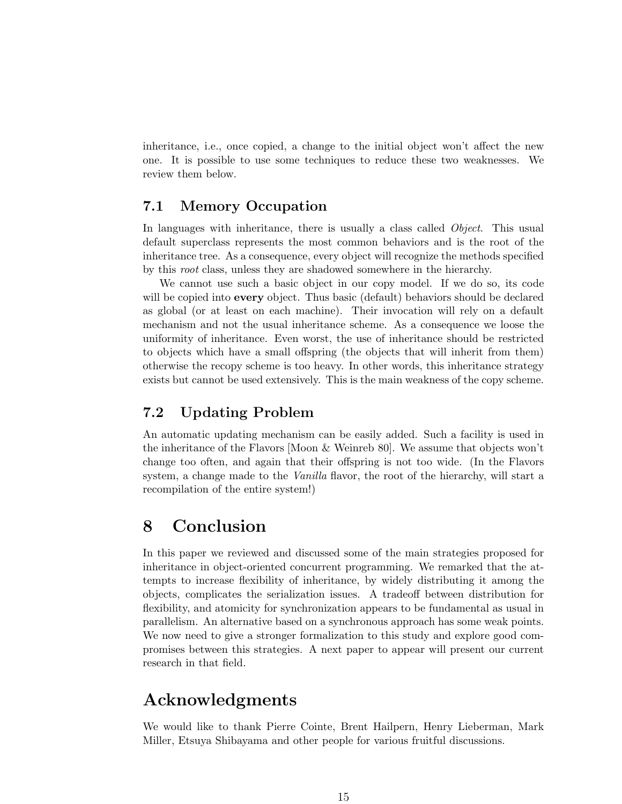inheritance, i.e., once copied, a change to the initial object won't affect the new one. It is possible to use some techniques to reduce these two weaknesses. We review them below.

## 7.1 Memory Occupation

In languages with inheritance, there is usually a class called *Object*. This usual default superclass represents the most common behaviors and is the root of the inheritance tree. As a consequence, every object will recognize the methods specified by this root class, unless they are shadowed somewhere in the hierarchy.

We cannot use such a basic object in our copy model. If we do so, its code will be copied into **every** object. Thus basic (default) behaviors should be declared as global (or at least on each machine). Their invocation will rely on a default mechanism and not the usual inheritance scheme. As a consequence we loose the uniformity of inheritance. Even worst, the use of inheritance should be restricted to objects which have a small offspring (the objects that will inherit from them) otherwise the recopy scheme is too heavy. In other words, this inheritance strategy exists but cannot be used extensively. This is the main weakness of the copy scheme.

## 7.2 Updating Problem

An automatic updating mechanism can be easily added. Such a facility is used in the inheritance of the Flavors [Moon & Weinreb 80]. We assume that objects won't change too often, and again that their offspring is not too wide. (In the Flavors system, a change made to the *Vanilla* flavor, the root of the hierarchy, will start a recompilation of the entire system!)

## 8 Conclusion

In this paper we reviewed and discussed some of the main strategies proposed for inheritance in object-oriented concurrent programming. We remarked that the attempts to increase flexibility of inheritance, by widely distributing it among the objects, complicates the serialization issues. A tradeoff between distribution for flexibility, and atomicity for synchronization appears to be fundamental as usual in parallelism. An alternative based on a synchronous approach has some weak points. We now need to give a stronger formalization to this study and explore good compromises between this strategies. A next paper to appear will present our current research in that field.

## Acknowledgments

We would like to thank Pierre Cointe, Brent Hailpern, Henry Lieberman, Mark Miller, Etsuya Shibayama and other people for various fruitful discussions.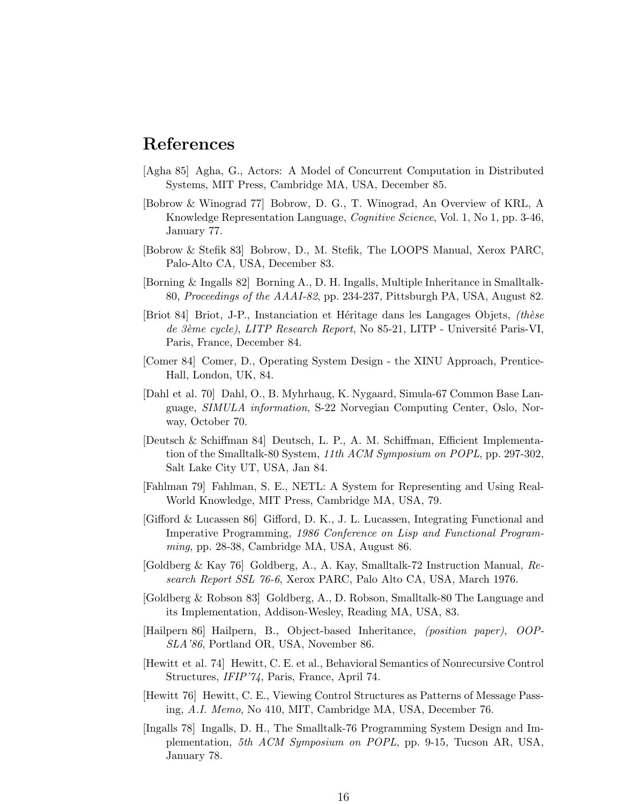## References

- [Agha 85] Agha, G., Actors: A Model of Concurrent Computation in Distributed Systems, MIT Press, Cambridge MA, USA, December 85.
- [Bobrow & Winograd 77] Bobrow, D. G., T. Winograd, An Overview of KRL, A Knowledge Representation Language, Cognitive Science, Vol. 1, No 1, pp. 3-46, January 77.
- [Bobrow & Stefik 83] Bobrow, D., M. Stefik, The LOOPS Manual, Xerox PARC, Palo-Alto CA, USA, December 83.
- [Borning & Ingalls 82] Borning A., D. H. Ingalls, Multiple Inheritance in Smalltalk-80, Proceedings of the AAAI-82, pp. 234-237, Pittsburgh PA, USA, August 82.
- [Briot 84] Briot, J-P., Instanciation et Héritage dans les Langages Objets, *(thèse*) de 3ème cycle), LITP Research Report, No 85-21, LITP - Université Paris-VI, Paris, France, December 84.
- [Comer 84] Comer, D., Operating System Design the XINU Approach, Prentice-Hall, London, UK, 84.
- [Dahl et al. 70] Dahl, O., B. Myhrhaug, K. Nygaard, Simula-67 Common Base Language, SIMULA information, S-22 Norvegian Computing Center, Oslo, Norway, October 70.
- [Deutsch & Schiffman 84] Deutsch, L. P., A. M. Schiffman, Efficient Implementation of the Smalltalk-80 System, 11th ACM Symposium on POPL, pp. 297-302, Salt Lake City UT, USA, Jan 84.
- [Fahlman 79] Fahlman, S. E., NETL: A System for Representing and Using Real-World Knowledge, MIT Press, Cambridge MA, USA, 79.
- [Gifford & Lucassen 86] Gifford, D. K., J. L. Lucassen, Integrating Functional and Imperative Programming, 1986 Conference on Lisp and Functional Programming, pp. 28-38, Cambridge MA, USA, August 86.
- [Goldberg & Kay 76] Goldberg, A., A. Kay, Smalltalk-72 Instruction Manual, Research Report SSL 76-6, Xerox PARC, Palo Alto CA, USA, March 1976.
- [Goldberg & Robson 83] Goldberg, A., D. Robson, Smalltalk-80 The Language and its Implementation, Addison-Wesley, Reading MA, USA, 83.
- [Hailpern 86] Hailpern, B., Object-based Inheritance, (position paper), OOP-SLA'86, Portland OR, USA, November 86.
- [Hewitt et al. 74] Hewitt, C. E. et al., Behavioral Semantics of Nonrecursive Control Structures, IFIP'74, Paris, France, April 74.
- [Hewitt 76] Hewitt, C. E., Viewing Control Structures as Patterns of Message Passing, A.I. Memo, No 410, MIT, Cambridge MA, USA, December 76.
- [Ingalls 78] Ingalls, D. H., The Smalltalk-76 Programming System Design and Implementation, 5th ACM Symposium on POPL, pp. 9-15, Tucson AR, USA, January 78.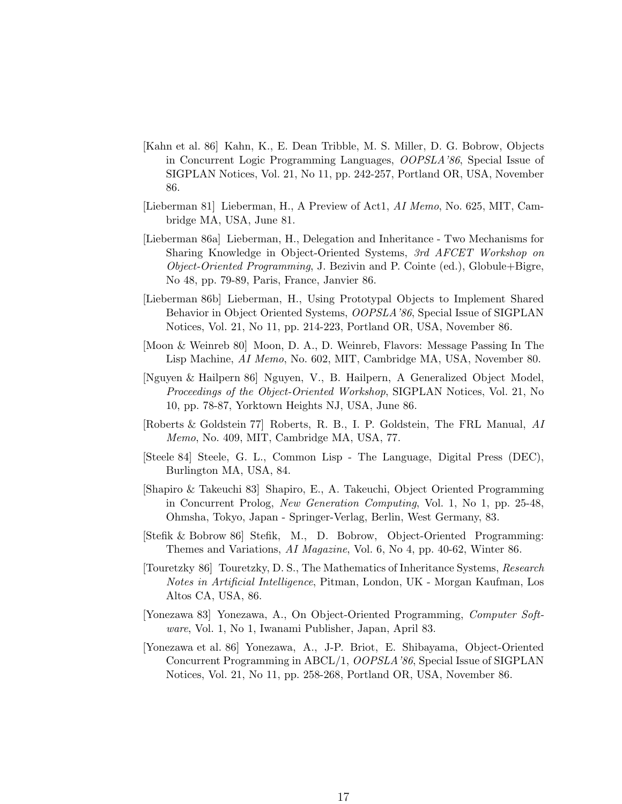- [Kahn et al. 86] Kahn, K., E. Dean Tribble, M. S. Miller, D. G. Bobrow, Objects in Concurrent Logic Programming Languages, OOPSLA'86, Special Issue of SIGPLAN Notices, Vol. 21, No 11, pp. 242-257, Portland OR, USA, November 86.
- [Lieberman 81] Lieberman, H., A Preview of Act1, AI Memo, No. 625, MIT, Cambridge MA, USA, June 81.
- [Lieberman 86a] Lieberman, H., Delegation and Inheritance Two Mechanisms for Sharing Knowledge in Object-Oriented Systems, 3rd AFCET Workshop on Object-Oriented Programming, J. Bezivin and P. Cointe (ed.), Globule+Bigre, No 48, pp. 79-89, Paris, France, Janvier 86.
- [Lieberman 86b] Lieberman, H., Using Prototypal Objects to Implement Shared Behavior in Object Oriented Systems, OOPSLA'86, Special Issue of SIGPLAN Notices, Vol. 21, No 11, pp. 214-223, Portland OR, USA, November 86.
- [Moon & Weinreb 80] Moon, D. A., D. Weinreb, Flavors: Message Passing In The Lisp Machine, AI Memo, No. 602, MIT, Cambridge MA, USA, November 80.
- [Nguyen & Hailpern 86] Nguyen, V., B. Hailpern, A Generalized Object Model, Proceedings of the Object-Oriented Workshop, SIGPLAN Notices, Vol. 21, No 10, pp. 78-87, Yorktown Heights NJ, USA, June 86.
- [Roberts & Goldstein 77] Roberts, R. B., I. P. Goldstein, The FRL Manual, AI Memo, No. 409, MIT, Cambridge MA, USA, 77.
- [Steele 84] Steele, G. L., Common Lisp The Language, Digital Press (DEC), Burlington MA, USA, 84.
- [Shapiro & Takeuchi 83] Shapiro, E., A. Takeuchi, Object Oriented Programming in Concurrent Prolog, New Generation Computing, Vol. 1, No 1, pp. 25-48, Ohmsha, Tokyo, Japan - Springer-Verlag, Berlin, West Germany, 83.
- [Stefik & Bobrow 86] Stefik, M., D. Bobrow, Object-Oriented Programming: Themes and Variations, AI Magazine, Vol. 6, No 4, pp. 40-62, Winter 86.
- [Touretzky 86] Touretzky, D. S., The Mathematics of Inheritance Systems, Research Notes in Artificial Intelligence, Pitman, London, UK - Morgan Kaufman, Los Altos CA, USA, 86.
- [Yonezawa 83] Yonezawa, A., On Object-Oriented Programming, Computer Software, Vol. 1, No 1, Iwanami Publisher, Japan, April 83.
- [Yonezawa et al. 86] Yonezawa, A., J-P. Briot, E. Shibayama, Object-Oriented Concurrent Programming in ABCL/1, OOPSLA'86, Special Issue of SIGPLAN Notices, Vol. 21, No 11, pp. 258-268, Portland OR, USA, November 86.